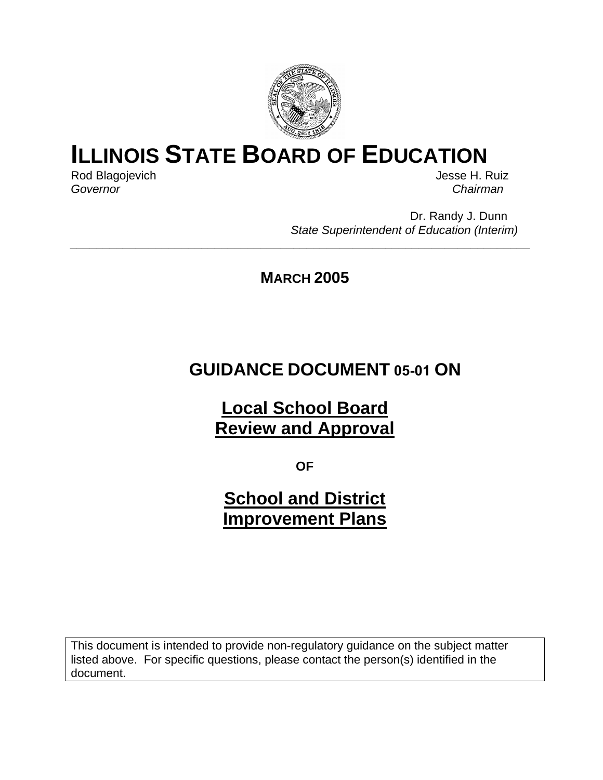

# **ILLINOIS STATE BOARD OF EDUCATION**

Rod Blagojevich **Good Blagoievich** Access 1999 and the US and the US and the US and the US and the US and the US and the US and the US and the US and the US and the US and the US and the US and the US and the US and the US *Governor Chairman* 

Dr. Randy J. Dunn *State Superintendent of Education (Interim)* 

**MARCH 2005** 

*\_\_\_\_\_\_\_\_\_\_\_\_\_\_\_\_\_\_\_\_\_\_\_\_\_\_\_\_\_\_\_\_\_\_\_\_\_\_\_\_\_\_\_\_\_\_\_\_\_\_\_\_\_\_\_\_\_\_\_\_\_\_\_\_\_\_\_\_\_\_* 

# **GUIDANCE DOCUMENT 05-01 ON**

**Local School Board Review and Approval**

**OF**

**School and District Improvement Plans**

This document is intended to provide non-regulatory guidance on the subject matter listed above. For specific questions, please contact the person(s) identified in the document.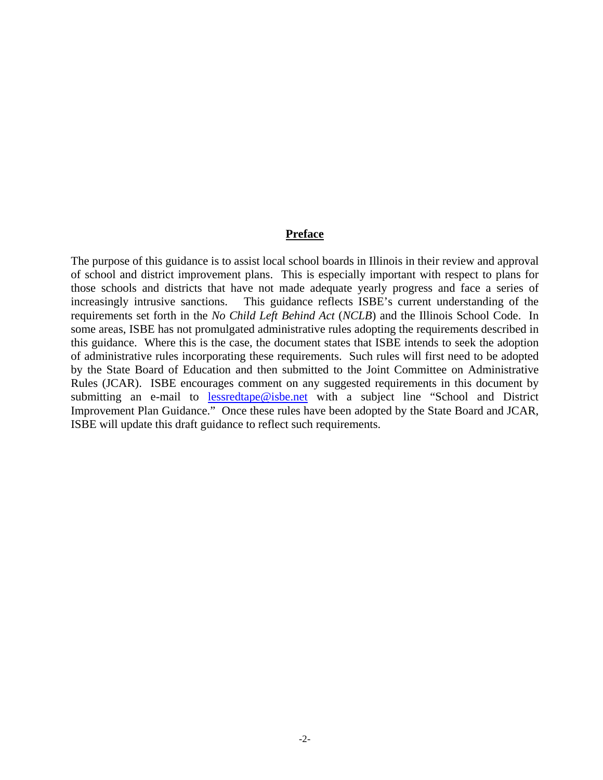#### **Preface**

The purpose of this guidance is to assist local school boards in Illinois in their review and approval of school and district improvement plans. This is especially important with respect to plans for those schools and districts that have not made adequate yearly progress and face a series of increasingly intrusive sanctions. This guidance reflects ISBE's current understanding of the requirements set forth in the *No Child Left Behind Act* (*NCLB*) and the Illinois School Code. In some areas, ISBE has not promulgated administrative rules adopting the requirements described in this guidance. Where this is the case, the document states that ISBE intends to seek the adoption of administrative rules incorporating these requirements. Such rules will first need to be adopted by the State Board of Education and then submitted to the Joint Committee on Administrative Rules (JCAR). ISBE encourages comment on any suggested requirements in this document by submitting an e-mail to [lessredtape@isbe.net](mailto:lessredtape@isbe.net) with a subject line "School and District Improvement Plan Guidance." Once these rules have been adopted by the State Board and JCAR, ISBE will update this draft guidance to reflect such requirements.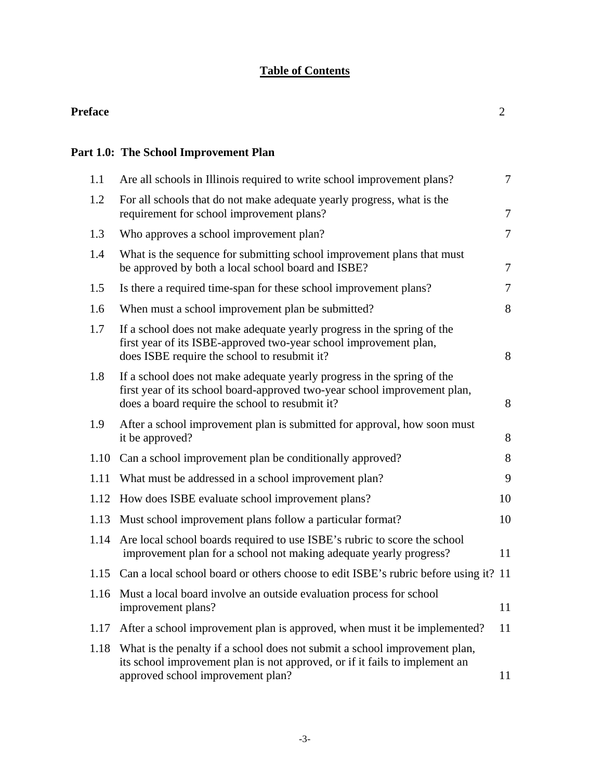# **Table of Contents**

#### **Preface** 2

# **Part 1.0: The School Improvement Plan**

| 1.1  | Are all schools in Illinois required to write school improvement plans?                                                                                                                                 | $\overline{7}$ |
|------|---------------------------------------------------------------------------------------------------------------------------------------------------------------------------------------------------------|----------------|
| 1.2  | For all schools that do not make adequate yearly progress, what is the<br>requirement for school improvement plans?                                                                                     | $\overline{7}$ |
| 1.3  | Who approves a school improvement plan?                                                                                                                                                                 | $\overline{7}$ |
| 1.4  | What is the sequence for submitting school improvement plans that must<br>be approved by both a local school board and ISBE?                                                                            | $\overline{7}$ |
| 1.5  | Is there a required time-span for these school improvement plans?                                                                                                                                       | $\tau$         |
| 1.6  | When must a school improvement plan be submitted?                                                                                                                                                       | 8              |
| 1.7  | If a school does not make adequate yearly progress in the spring of the<br>first year of its ISBE-approved two-year school improvement plan,<br>does ISBE require the school to resubmit it?            | 8              |
| 1.8  | If a school does not make adequate yearly progress in the spring of the<br>first year of its school board-approved two-year school improvement plan,<br>does a board require the school to resubmit it? | 8              |
| 1.9  | After a school improvement plan is submitted for approval, how soon must<br>it be approved?                                                                                                             | 8              |
| 1.10 | Can a school improvement plan be conditionally approved?                                                                                                                                                | 8              |
| 1.11 | What must be addressed in a school improvement plan?                                                                                                                                                    | 9              |
| 1.12 | How does ISBE evaluate school improvement plans?                                                                                                                                                        | 10             |
| 1.13 | Must school improvement plans follow a particular format?                                                                                                                                               | 10             |
| 1.14 | Are local school boards required to use ISBE's rubric to score the school<br>improvement plan for a school not making adequate yearly progress?                                                         | 11             |
| 1.15 | Can a local school board or others choose to edit ISBE's rubric before using it? 11                                                                                                                     |                |
| 1.16 | Must a local board involve an outside evaluation process for school<br>improvement plans?                                                                                                               | 11             |
| 1.17 | After a school improvement plan is approved, when must it be implemented?                                                                                                                               | 11             |
| 1.18 | What is the penalty if a school does not submit a school improvement plan,<br>its school improvement plan is not approved, or if it fails to implement an<br>approved school improvement plan?          | 11             |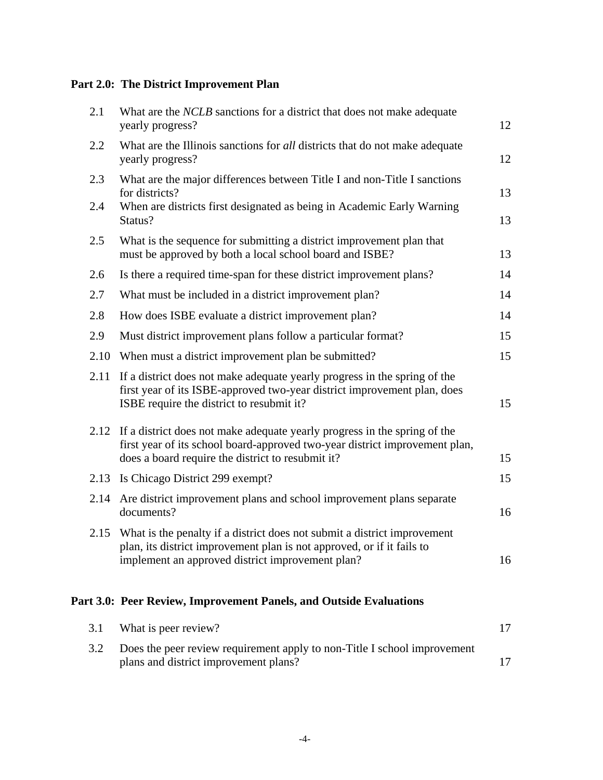# **Part 2.0: The District Improvement Plan**

| 2.1        | What are the <i>NCLB</i> sanctions for a district that does not make adequate<br>yearly progress?                                                                                                                  |          |  |  |
|------------|--------------------------------------------------------------------------------------------------------------------------------------------------------------------------------------------------------------------|----------|--|--|
| 2.2        | What are the Illinois sanctions for all districts that do not make adequate<br>yearly progress?                                                                                                                    |          |  |  |
| 2.3<br>2.4 | What are the major differences between Title I and non-Title I sanctions<br>for districts?<br>When are districts first designated as being in Academic Early Warning                                               | 13       |  |  |
| 2.5        | Status?<br>What is the sequence for submitting a district improvement plan that<br>must be approved by both a local school board and ISBE?                                                                         | 13<br>13 |  |  |
| 2.6        | Is there a required time-span for these district improvement plans?                                                                                                                                                | 14       |  |  |
| 2.7        | What must be included in a district improvement plan?                                                                                                                                                              | 14       |  |  |
| 2.8        | How does ISBE evaluate a district improvement plan?                                                                                                                                                                | 14       |  |  |
| 2.9        | Must district improvement plans follow a particular format?                                                                                                                                                        | 15       |  |  |
| 2.10       | When must a district improvement plan be submitted?                                                                                                                                                                | 15       |  |  |
| 2.11       | If a district does not make adequate yearly progress in the spring of the<br>first year of its ISBE-approved two-year district improvement plan, does<br>ISBE require the district to resubmit it?                 | 15       |  |  |
|            | 2.12 If a district does not make adequate yearly progress in the spring of the<br>first year of its school board-approved two-year district improvement plan,<br>does a board require the district to resubmit it? | 15       |  |  |
|            | 2.13 Is Chicago District 299 exempt?                                                                                                                                                                               | 15       |  |  |
| 2.14       | Are district improvement plans and school improvement plans separate<br>documents?                                                                                                                                 | 16       |  |  |
| 2.15       | What is the penalty if a district does not submit a district improvement<br>plan, its district improvement plan is not approved, or if it fails to<br>implement an approved district improvement plan?             | 16       |  |  |

# **Part 3.0: Peer Review, Improvement Panels, and Outside Evaluations**

|     | 3.1 What is peer review?                                                 |  |
|-----|--------------------------------------------------------------------------|--|
| 3.2 | Does the peer review requirement apply to non-Title I school improvement |  |
|     | plans and district improvement plans?                                    |  |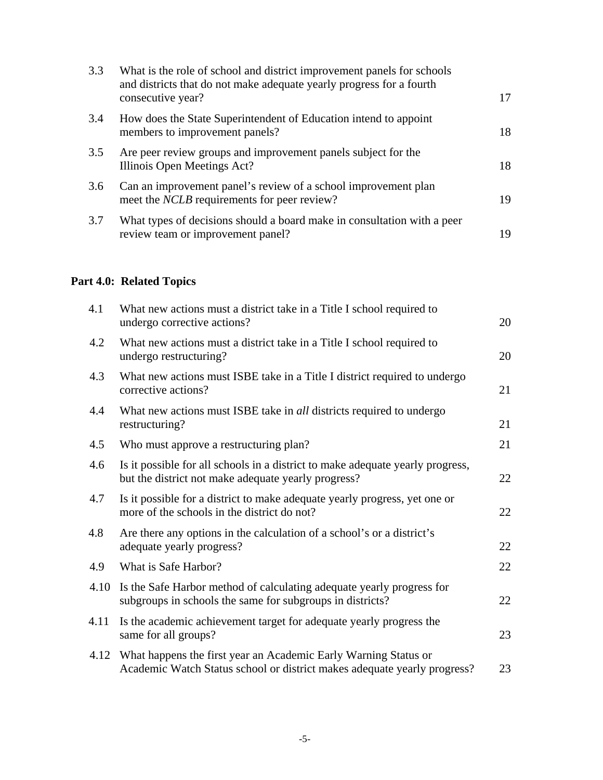| 3.3 | What is the role of school and district improvement panels for schools<br>and districts that do not make adequate yearly progress for a fourth<br>consecutive year? | 17 |
|-----|---------------------------------------------------------------------------------------------------------------------------------------------------------------------|----|
| 3.4 | How does the State Superintendent of Education intend to appoint<br>members to improvement panels?                                                                  | 18 |
| 3.5 | Are peer review groups and improvement panels subject for the<br>Illinois Open Meetings Act?                                                                        | 18 |
| 3.6 | Can an improvement panel's review of a school improvement plan<br>meet the <i>NCLB</i> requirements for peer review?                                                | 19 |
| 3.7 | What types of decisions should a board make in consultation with a peer<br>review team or improvement panel?                                                        | 19 |

# **Part 4.0: Related Topics**

| 4.1  | What new actions must a district take in a Title I school required to<br>undergo corrective actions?                                        | 20 |
|------|---------------------------------------------------------------------------------------------------------------------------------------------|----|
| 4.2  | What new actions must a district take in a Title I school required to<br>undergo restructuring?                                             | 20 |
| 4.3  | What new actions must ISBE take in a Title I district required to undergo<br>corrective actions?                                            | 21 |
| 4.4  | What new actions must ISBE take in <i>all</i> districts required to undergo<br>restructuring?                                               | 21 |
| 4.5  | Who must approve a restructuring plan?                                                                                                      | 21 |
| 4.6  | Is it possible for all schools in a district to make adequate yearly progress,<br>but the district not make adequate yearly progress?       | 22 |
| 4.7  | Is it possible for a district to make adequate yearly progress, yet one or<br>more of the schools in the district do not?                   | 22 |
| 4.8  | Are there any options in the calculation of a school's or a district's<br>adequate yearly progress?                                         | 22 |
| 4.9  | What is Safe Harbor?                                                                                                                        | 22 |
| 4.10 | Is the Safe Harbor method of calculating adequate yearly progress for<br>subgroups in schools the same for subgroups in districts?          | 22 |
| 4.11 | Is the academic achievement target for adequate yearly progress the<br>same for all groups?                                                 | 23 |
| 4.12 | What happens the first year an Academic Early Warning Status or<br>Academic Watch Status school or district makes adequate yearly progress? | 23 |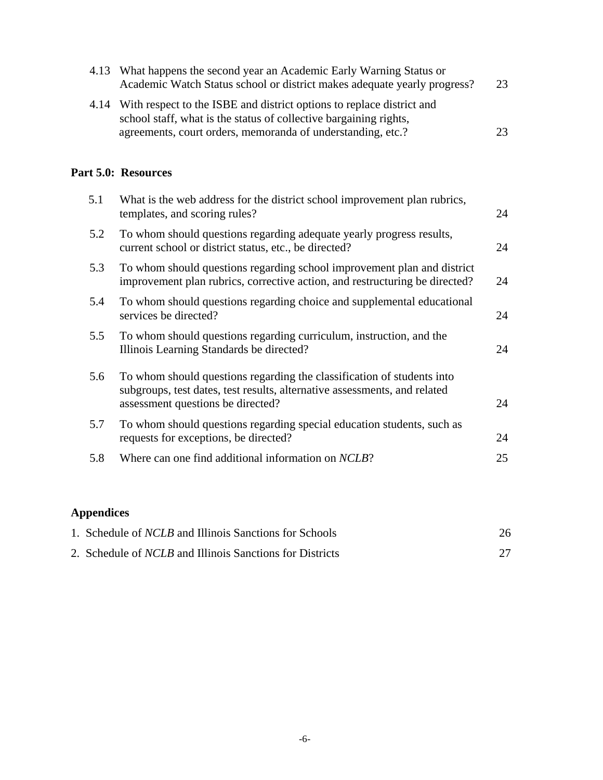| 4.13 What happens the second year an Academic Early Warning Status or<br>Academic Watch Status school or district makes adequate yearly progress? | 23 |
|---------------------------------------------------------------------------------------------------------------------------------------------------|----|
| 4.14 With respect to the ISBE and district options to replace district and<br>school staff, what is the status of collective bargaining rights,   |    |
| agreements, court orders, memoranda of understanding, etc.?                                                                                       | 23 |

# **Part 5.0: Resources**

| 5.1 | What is the web address for the district school improvement plan rubrics,<br>templates, and scoring rules?                                                                               | 24 |
|-----|------------------------------------------------------------------------------------------------------------------------------------------------------------------------------------------|----|
| 5.2 | To whom should questions regarding adequate yearly progress results,<br>current school or district status, etc., be directed?                                                            | 24 |
| 5.3 | To whom should questions regarding school improvement plan and district<br>improvement plan rubrics, corrective action, and restructuring be directed?                                   | 24 |
| 5.4 | To whom should questions regarding choice and supplemental educational<br>services be directed?                                                                                          | 24 |
| 5.5 | To whom should questions regarding curriculum, instruction, and the<br>Illinois Learning Standards be directed?                                                                          | 24 |
| 5.6 | To whom should questions regarding the classification of students into<br>subgroups, test dates, test results, alternative assessments, and related<br>assessment questions be directed? | 24 |
| 5.7 | To whom should questions regarding special education students, such as<br>requests for exceptions, be directed?                                                                          | 24 |
| 5.8 | Where can one find additional information on NCLB?                                                                                                                                       | 25 |

# **Appendices**

| 1. Schedule of <i>NCLB</i> and Illinois Sanctions for Schools   | 26 |
|-----------------------------------------------------------------|----|
| 2. Schedule of <i>NCLB</i> and Illinois Sanctions for Districts |    |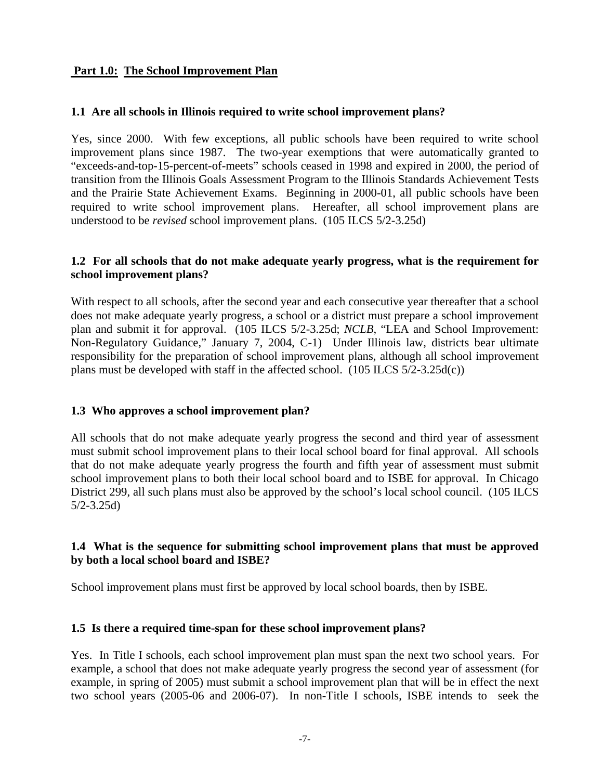# **Part 1.0: The School Improvement Plan**

#### **1.1 Are all schools in Illinois required to write school improvement plans?**

Yes, since 2000. With few exceptions, all public schools have been required to write school improvement plans since 1987. The two-year exemptions that were automatically granted to "exceeds-and-top-15-percent-of-meets" schools ceased in 1998 and expired in 2000, the period of transition from the Illinois Goals Assessment Program to the Illinois Standards Achievement Tests and the Prairie State Achievement Exams. Beginning in 2000-01, all public schools have been required to write school improvement plans. Hereafter, all school improvement plans are understood to be *revised* school improvement plans. (105 ILCS 5/2-3.25d)

#### **1.2 For all schools that do not make adequate yearly progress, what is the requirement for school improvement plans?**

With respect to all schools, after the second year and each consecutive year thereafter that a school does not make adequate yearly progress, a school or a district must prepare a school improvement plan and submit it for approval. (105 ILCS 5/2-3.25d; *NCLB*, "LEA and School Improvement: Non-Regulatory Guidance," January 7, 2004, C-1) Under Illinois law, districts bear ultimate responsibility for the preparation of school improvement plans, although all school improvement plans must be developed with staff in the affected school. (105 ILCS 5/2-3.25d(c))

#### **1.3 Who approves a school improvement plan?**

All schools that do not make adequate yearly progress the second and third year of assessment must submit school improvement plans to their local school board for final approval. All schools that do not make adequate yearly progress the fourth and fifth year of assessment must submit school improvement plans to both their local school board and to ISBE for approval. In Chicago District 299, all such plans must also be approved by the school's local school council. (105 ILCS 5/2-3.25d)

# **1.4 What is the sequence for submitting school improvement plans that must be approved by both a local school board and ISBE?**

School improvement plans must first be approved by local school boards, then by ISBE.

#### **1.5 Is there a required time-span for these school improvement plans?**

Yes. In Title I schools, each school improvement plan must span the next two school years. For example, a school that does not make adequate yearly progress the second year of assessment (for example, in spring of 2005) must submit a school improvement plan that will be in effect the next two school years (2005-06 and 2006-07). In non-Title I schools, ISBE intends to seek the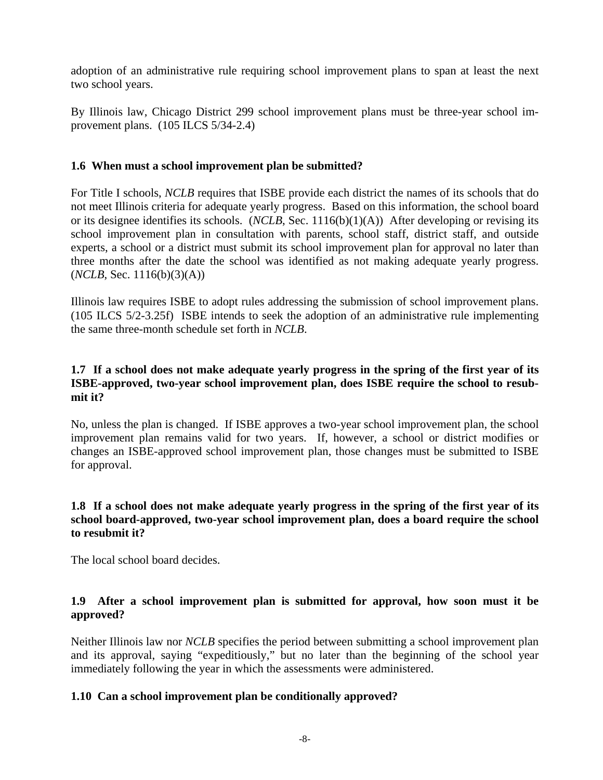adoption of an administrative rule requiring school improvement plans to span at least the next two school years.

By Illinois law, Chicago District 299 school improvement plans must be three-year school improvement plans. (105 ILCS 5/34-2.4)

# **1.6 When must a school improvement plan be submitted?**

For Title I schools, *NCLB* requires that ISBE provide each district the names of its schools that do not meet Illinois criteria for adequate yearly progress. Based on this information, the school board or its designee identifies its schools. (*NCLB*, Sec. 1116(b)(1)(A)) After developing or revising its school improvement plan in consultation with parents, school staff, district staff, and outside experts, a school or a district must submit its school improvement plan for approval no later than three months after the date the school was identified as not making adequate yearly progress.  $(NCLB, Sec. 1116(b)(3)(A))$ 

Illinois law requires ISBE to adopt rules addressing the submission of school improvement plans. (105 ILCS 5/2-3.25f) ISBE intends to seek the adoption of an administrative rule implementing the same three-month schedule set forth in *NCLB*.

# **1.7 If a school does not make adequate yearly progress in the spring of the first year of its ISBE-approved, two-year school improvement plan, does ISBE require the school to resubmit it?**

No, unless the plan is changed. If ISBE approves a two-year school improvement plan, the school improvement plan remains valid for two years. If, however, a school or district modifies or changes an ISBE-approved school improvement plan, those changes must be submitted to ISBE for approval.

# **1.8 If a school does not make adequate yearly progress in the spring of the first year of its school board-approved, two-year school improvement plan, does a board require the school to resubmit it?**

The local school board decides.

# **1.9 After a school improvement plan is submitted for approval, how soon must it be approved?**

Neither Illinois law nor *NCLB* specifies the period between submitting a school improvement plan and its approval, saying "expeditiously," but no later than the beginning of the school year immediately following the year in which the assessments were administered.

# **1.10 Can a school improvement plan be conditionally approved?**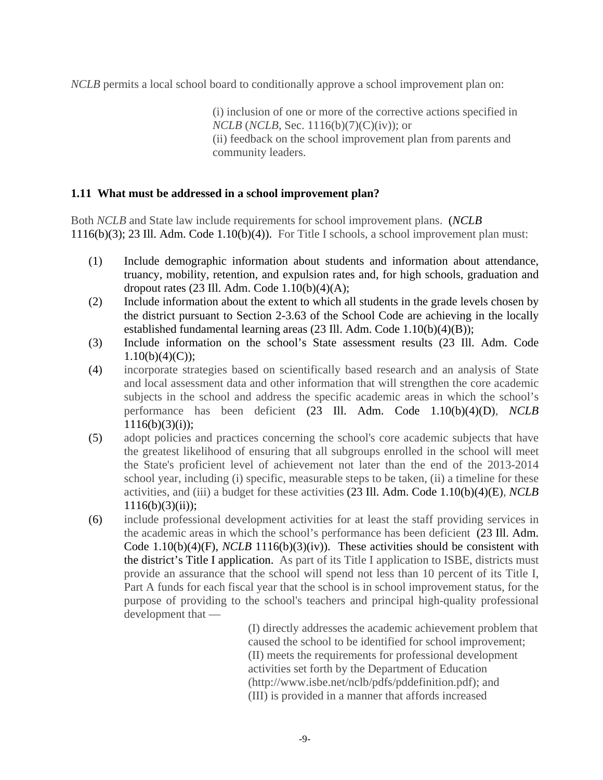*NCLB* permits a local school board to conditionally approve a school improvement plan on:

(i) inclusion of one or more of the corrective actions specified in *NCLB* (*NCLB*, Sec. 1116(b)(7)(C)(iv)); or (ii) feedback on the school improvement plan from parents and community leaders.

### **1.11 What must be addressed in a school improvement plan?**

Both *NCLB* and State law include requirements for school improvement plans. (*NCLB* 1116(b)(3); 23 Ill. Adm. Code 1.10(b)(4)). For Title I schools, a school improvement plan must:

- (1) Include demographic information about students and information about attendance, truancy, mobility, retention, and expulsion rates and, for high schools, graduation and dropout rates  $(23 \text{ Ill.}$  Adm. Code  $1.10(b)(4)(A)$ ;
- (2) Include information about the extent to which all students in the grade levels chosen by the district pursuant to Section 2-3.63 of the School Code are achieving in the locally established fundamental learning areas (23 Ill. Adm. Code 1.10(b)(4)(B));
- (3) Include information on the school's State assessment results (23 Ill. Adm. Code  $1.10(b)(4)(C);$
- (4) incorporate strategies based on scientifically based research and an analysis of State and local assessment data and other information that will strengthen the core academic subjects in the school and address the specific academic areas in which the school's performance has been deficient (23 Ill. Adm. Code 1.10(b)(4)(D), *NCLB*  $1116(b)(3)(i)$ ;
- (5) adopt policies and practices concerning the school's core academic subjects that have the greatest likelihood of ensuring that all subgroups enrolled in the school will meet the State's proficient level of achievement not later than the end of the 2013-2014 school year, including (i) specific, measurable steps to be taken, (ii) a timeline for these activities, and (iii) a budget for these activities (23 Ill. Adm. Code 1.10(b)(4)(E), *NCLB*  $1116(b)(3)(ii)$ ;
- (6) include professional development activities for at least the staff providing services in the academic areas in which the school's performance has been deficient (23 Ill. Adm. Code 1.10(b)(4)(F), *NCLB* 1116(b)(3)(iv)). These activities should be consistent with the district's Title I application. As part of its Title I application to ISBE, districts must provide an assurance that the school will spend not less than 10 percent of its Title I, Part A funds for each fiscal year that the school is in school improvement status, for the purpose of providing to the school's teachers and principal high-quality professional development that —

(I) directly addresses the academic achievement problem that caused the school to be identified for school improvement; (II) meets the requirements for professional development activities set forth by the Department of Education (http://www.isbe.net/nclb/pdfs/pddefinition.pdf); and (III) is provided in a manner that affords increased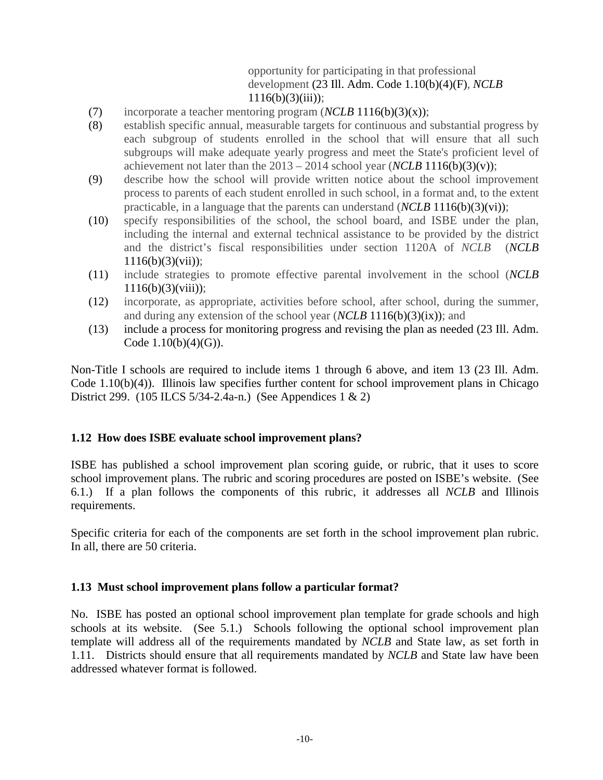# opportunity for participating in that professional development (23 Ill. Adm. Code 1.10(b)(4)(F), *NCLB*  $1116(b)(3)(iii)$ ;

- (7) incorporate a teacher mentoring program (*NCLB* 1116(b)(3)(x));
- (8) establish specific annual, measurable targets for continuous and substantial progress by each subgroup of students enrolled in the school that will ensure that all such subgroups will make adequate yearly progress and meet the State's proficient level of achievement not later than the  $2013 - 2014$  school year (*NCLB* 1116(b)(3)(v));
- (9) describe how the school will provide written notice about the school improvement process to parents of each student enrolled in such school, in a format and, to the extent practicable, in a language that the parents can understand (*NCLB* 1116(b)(3)(vi));
- (10) specify responsibilities of the school, the school board, and ISBE under the plan, including the internal and external technical assistance to be provided by the district and the district's fiscal responsibilities under section 1120A of *NCLB* (*NCLB*  $1116(b)(3)(vii)$ ;
- (11) include strategies to promote effective parental involvement in the school (*NCLB*  $1116(b)(3)(viii);$
- (12) incorporate, as appropriate, activities before school, after school, during the summer, and during any extension of the school year (*NCLB* 1116(b)(3)(ix)); and
- (13) include a process for monitoring progress and revising the plan as needed (23 Ill. Adm. Code  $1.10(b)(4)(G)$ .

Non-Title I schools are required to include items 1 through 6 above, and item 13 (23 Ill. Adm. Code 1.10(b)(4)). Illinois law specifies further content for school improvement plans in Chicago District 299. (105 ILCS 5/34-2.4a-n.) (See Appendices 1 & 2)

#### **1.12 How does ISBE evaluate school improvement plans?**

ISBE has published a school improvement plan scoring guide, or rubric, that it uses to score school improvement plans. The rubric and scoring procedures are posted on ISBE's website. (See 6.1.) If a plan follows the components of this rubric, it addresses all *NCLB* and Illinois requirements.

Specific criteria for each of the components are set forth in the school improvement plan rubric. In all, there are 50 criteria.

#### **1.13 Must school improvement plans follow a particular format?**

No. ISBE has posted an optional school improvement plan template for grade schools and high schools at its website. (See 5.1.) Schools following the optional school improvement plan template will address all of the requirements mandated by *NCLB* and State law, as set forth in 1.11. Districts should ensure that all requirements mandated by *NCLB* and State law have been addressed whatever format is followed.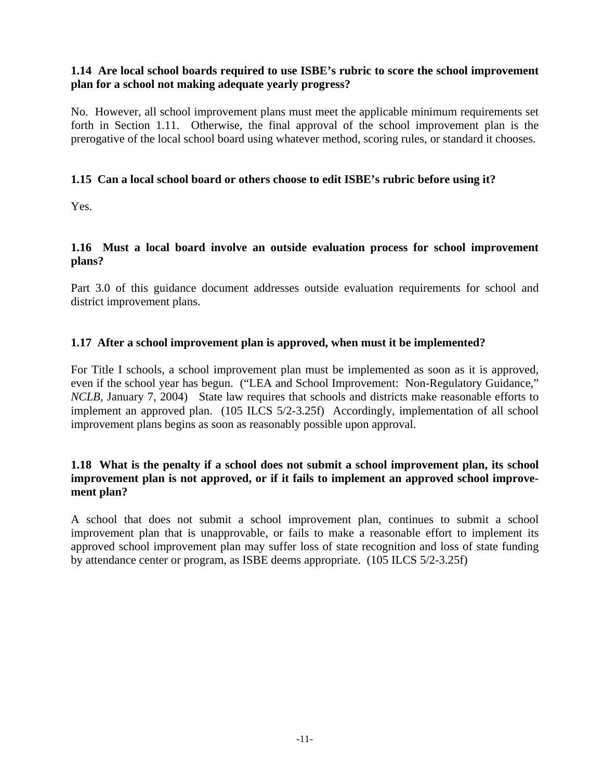# **1.14 Are local school boards required to use ISBE's rubric to score the school improvement plan for a school not making adequate yearly progress?**

No. However, all school improvement plans must meet the applicable minimum requirements set forth in Section 1.11. Otherwise, the final approval of the school improvement plan is the prerogative of the local school board using whatever method, scoring rules, or standard it chooses.

# **1.15 Can a local school board or others choose to edit ISBE's rubric before using it?**

Yes.

# **1.16 Must a local board involve an outside evaluation process for school improvement plans?**

Part 3.0 of this guidance document addresses outside evaluation requirements for school and district improvement plans.

# **1.17 After a school improvement plan is approved, when must it be implemented?**

For Title I schools, a school improvement plan must be implemented as soon as it is approved, even if the school year has begun. ("LEA and School Improvement: Non-Regulatory Guidance," *NCLB*, January 7, 2004) State law requires that schools and districts make reasonable efforts to implement an approved plan. (105 ILCS 5/2-3.25f) Accordingly, implementation of all school improvement plans begins as soon as reasonably possible upon approval.

# **1.18 What is the penalty if a school does not submit a school improvement plan, its school improvement plan is not approved, or if it fails to implement an approved school improvement plan?**

A school that does not submit a school improvement plan, continues to submit a school improvement plan that is unapprovable, or fails to make a reasonable effort to implement its approved school improvement plan may suffer loss of state recognition and loss of state funding by attendance center or program, as ISBE deems appropriate. (105 ILCS 5/2-3.25f)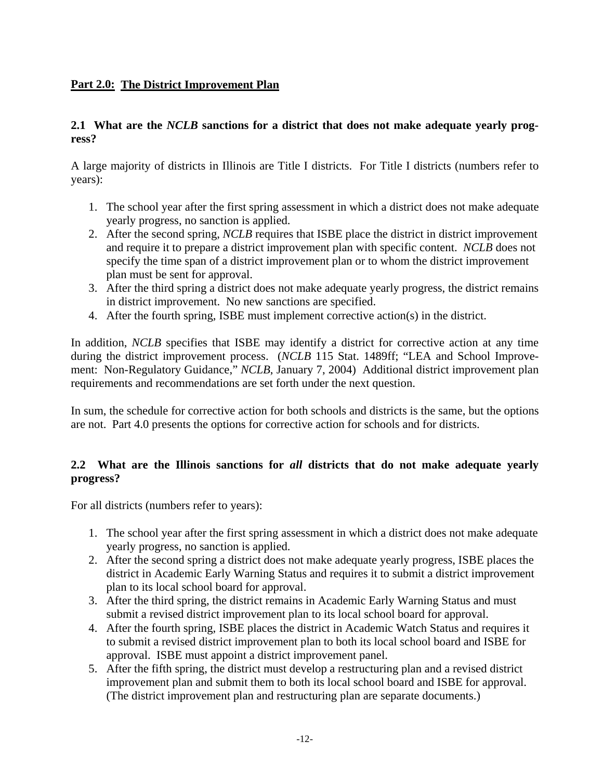# **Part 2.0: The District Improvement Plan**

# **2.1 What are the** *NCLB* **sanctions for a district that does not make adequate yearly progress?**

A large majority of districts in Illinois are Title I districts. For Title I districts (numbers refer to years):

- 1. The school year after the first spring assessment in which a district does not make adequate yearly progress, no sanction is applied.
- 2. After the second spring, *NCLB* requires that ISBE place the district in district improvement and require it to prepare a district improvement plan with specific content. *NCLB* does not specify the time span of a district improvement plan or to whom the district improvement plan must be sent for approval.
- 3. After the third spring a district does not make adequate yearly progress, the district remains in district improvement. No new sanctions are specified.
- 4. After the fourth spring, ISBE must implement corrective action(s) in the district.

In addition, *NCLB* specifies that ISBE may identify a district for corrective action at any time during the district improvement process. (*NCLB* 115 Stat. 1489ff; "LEA and School Improvement: Non-Regulatory Guidance," *NCLB*, January 7, 2004) Additional district improvement plan requirements and recommendations are set forth under the next question.

In sum, the schedule for corrective action for both schools and districts is the same, but the options are not. Part 4.0 presents the options for corrective action for schools and for districts.

# **2.2 What are the Illinois sanctions for** *all* **districts that do not make adequate yearly progress?**

For all districts (numbers refer to years):

- 1. The school year after the first spring assessment in which a district does not make adequate yearly progress, no sanction is applied.
- 2. After the second spring a district does not make adequate yearly progress, ISBE places the district in Academic Early Warning Status and requires it to submit a district improvement plan to its local school board for approval.
- 3. After the third spring, the district remains in Academic Early Warning Status and must submit a revised district improvement plan to its local school board for approval.
- 4. After the fourth spring, ISBE places the district in Academic Watch Status and requires it to submit a revised district improvement plan to both its local school board and ISBE for approval. ISBE must appoint a district improvement panel.
- 5. After the fifth spring, the district must develop a restructuring plan and a revised district improvement plan and submit them to both its local school board and ISBE for approval. (The district improvement plan and restructuring plan are separate documents.)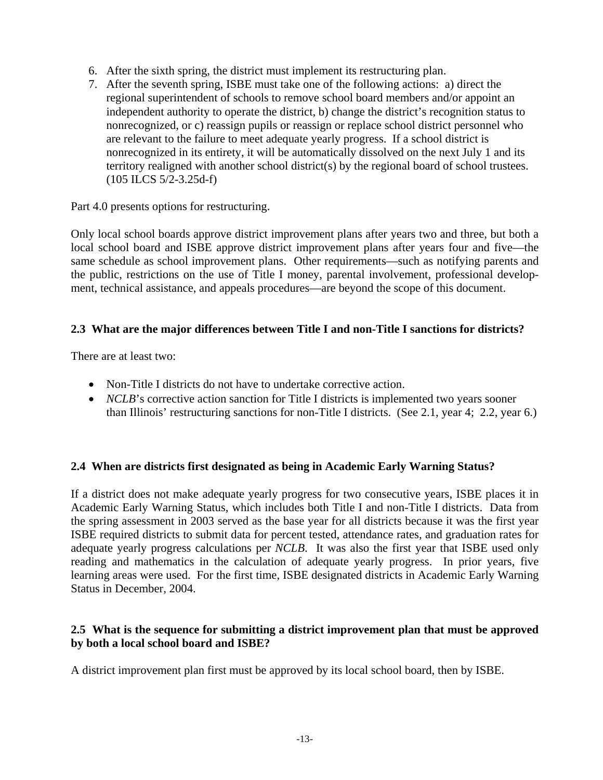- 6. After the sixth spring, the district must implement its restructuring plan.
- 7. After the seventh spring, ISBE must take one of the following actions: a) direct the regional superintendent of schools to remove school board members and/or appoint an independent authority to operate the district, b) change the district's recognition status to nonrecognized, or c) reassign pupils or reassign or replace school district personnel who are relevant to the failure to meet adequate yearly progress. If a school district is nonrecognized in its entirety, it will be automatically dissolved on the next July 1 and its territory realigned with another school district(s) by the regional board of school trustees. (105 ILCS 5/2-3.25d-f)

Part 4.0 presents options for restructuring.

Only local school boards approve district improvement plans after years two and three, but both a local school board and ISBE approve district improvement plans after years four and five—the same schedule as school improvement plans. Other requirements—such as notifying parents and the public, restrictions on the use of Title I money, parental involvement, professional development, technical assistance, and appeals procedures—are beyond the scope of this document.

#### **2.3 What are the major differences between Title I and non-Title I sanctions for districts?**

There are at least two:

- Non-Title I districts do not have to undertake corrective action.
- *NCLB*'s corrective action sanction for Title I districts is implemented two years sooner than Illinois' restructuring sanctions for non-Title I districts. (See 2.1, year 4; 2.2, year 6.)

# **2.4 When are districts first designated as being in Academic Early Warning Status?**

If a district does not make adequate yearly progress for two consecutive years, ISBE places it in Academic Early Warning Status, which includes both Title I and non-Title I districts. Data from the spring assessment in 2003 served as the base year for all districts because it was the first year ISBE required districts to submit data for percent tested, attendance rates, and graduation rates for adequate yearly progress calculations per *NCLB*. It was also the first year that ISBE used only reading and mathematics in the calculation of adequate yearly progress. In prior years, five learning areas were used. For the first time, ISBE designated districts in Academic Early Warning Status in December, 2004.

#### **2.5 What is the sequence for submitting a district improvement plan that must be approved by both a local school board and ISBE?**

A district improvement plan first must be approved by its local school board, then by ISBE.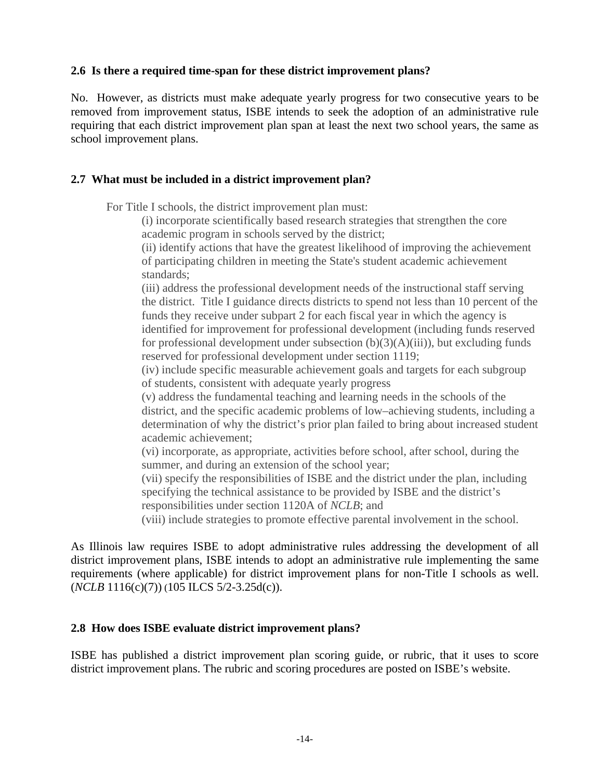# **2.6 Is there a required time-span for these district improvement plans?**

No. However, as districts must make adequate yearly progress for two consecutive years to be removed from improvement status, ISBE intends to seek the adoption of an administrative rule requiring that each district improvement plan span at least the next two school years, the same as school improvement plans.

# **2.7 What must be included in a district improvement plan?**

For Title I schools, the district improvement plan must:

(i) incorporate scientifically based research strategies that strengthen the core academic program in schools served by the district;

(ii) identify actions that have the greatest likelihood of improving the achievement of participating children in meeting the State's student academic achievement standards;

(iii) address the professional development needs of the instructional staff serving the district. Title I guidance directs districts to spend not less than 10 percent of the funds they receive under subpart 2 for each fiscal year in which the agency is identified for improvement for professional development (including funds reserved for professional development under subsection  $(b)(3)(A)(iii)$ , but excluding funds reserved for professional development under section 1119;

(iv) include specific measurable achievement goals and targets for each subgroup of students, consistent with adequate yearly progress

(v) address the fundamental teaching and learning needs in the schools of the district, and the specific academic problems of low–achieving students, including a determination of why the district's prior plan failed to bring about increased student academic achievement;

(vi) incorporate, as appropriate, activities before school, after school, during the summer, and during an extension of the school year;

(vii) specify the responsibilities of ISBE and the district under the plan, including specifying the technical assistance to be provided by ISBE and the district's responsibilities under section 1120A of *NCLB*; and

(viii) include strategies to promote effective parental involvement in the school.

As Illinois law requires ISBE to adopt administrative rules addressing the development of all district improvement plans, ISBE intends to adopt an administrative rule implementing the same requirements (where applicable) for district improvement plans for non-Title I schools as well. (*NCLB* 1116(c)(7)) (105 ILCS 5/2-3.25d(c)).

# **2.8 How does ISBE evaluate district improvement plans?**

ISBE has published a district improvement plan scoring guide, or rubric, that it uses to score district improvement plans. The rubric and scoring procedures are posted on ISBE's website.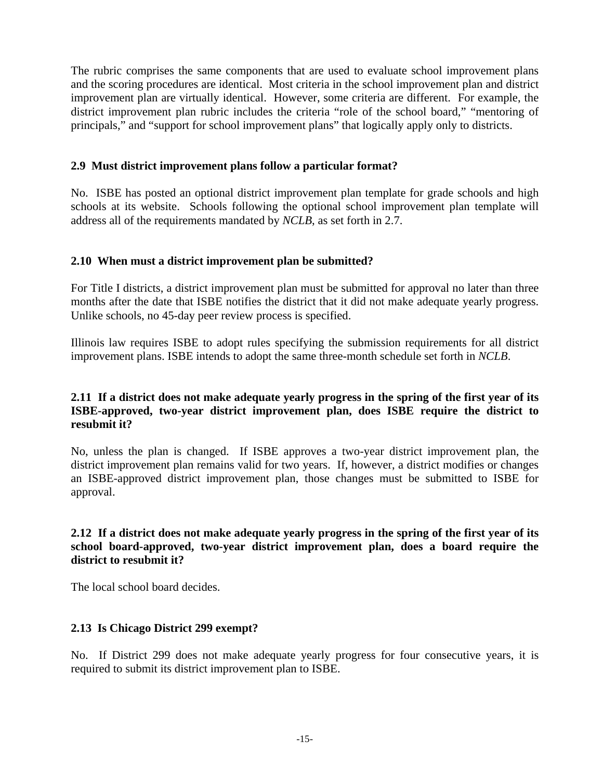The rubric comprises the same components that are used to evaluate school improvement plans and the scoring procedures are identical. Most criteria in the school improvement plan and district improvement plan are virtually identical. However, some criteria are different. For example, the district improvement plan rubric includes the criteria "role of the school board," "mentoring of principals," and "support for school improvement plans" that logically apply only to districts.

# **2.9 Must district improvement plans follow a particular format?**

No. ISBE has posted an optional district improvement plan template for grade schools and high schools at its website. Schools following the optional school improvement plan template will address all of the requirements mandated by *NCLB*, as set forth in 2.7.

#### **2.10 When must a district improvement plan be submitted?**

For Title I districts, a district improvement plan must be submitted for approval no later than three months after the date that ISBE notifies the district that it did not make adequate yearly progress. Unlike schools, no 45-day peer review process is specified.

Illinois law requires ISBE to adopt rules specifying the submission requirements for all district improvement plans. ISBE intends to adopt the same three-month schedule set forth in *NCLB*.

# **2.11 If a district does not make adequate yearly progress in the spring of the first year of its ISBE-approved, two-year district improvement plan, does ISBE require the district to resubmit it?**

No, unless the plan is changed. If ISBE approves a two-year district improvement plan, the district improvement plan remains valid for two years. If, however, a district modifies or changes an ISBE-approved district improvement plan, those changes must be submitted to ISBE for approval.

# **2.12 If a district does not make adequate yearly progress in the spring of the first year of its school board-approved, two-year district improvement plan, does a board require the district to resubmit it?**

The local school board decides.

# **2.13 Is Chicago District 299 exempt?**

No. If District 299 does not make adequate yearly progress for four consecutive years, it is required to submit its district improvement plan to ISBE.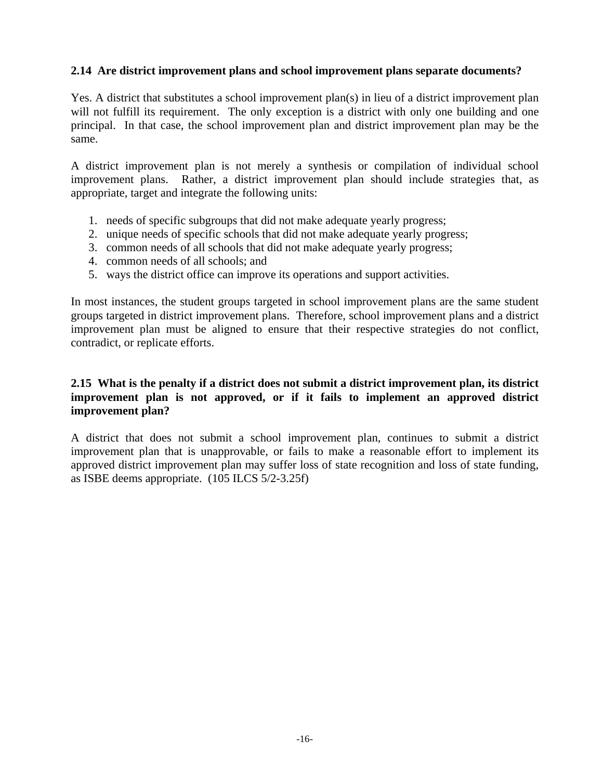# **2.14 Are district improvement plans and school improvement plans separate documents?**

Yes. A district that substitutes a school improvement plan(s) in lieu of a district improvement plan will not fulfill its requirement. The only exception is a district with only one building and one principal. In that case, the school improvement plan and district improvement plan may be the same.

A district improvement plan is not merely a synthesis or compilation of individual school improvement plans. Rather, a district improvement plan should include strategies that, as appropriate, target and integrate the following units:

- 1. needs of specific subgroups that did not make adequate yearly progress;
- 2. unique needs of specific schools that did not make adequate yearly progress;
- 3. common needs of all schools that did not make adequate yearly progress;
- 4. common needs of all schools; and
- 5. ways the district office can improve its operations and support activities.

In most instances, the student groups targeted in school improvement plans are the same student groups targeted in district improvement plans. Therefore, school improvement plans and a district improvement plan must be aligned to ensure that their respective strategies do not conflict, contradict, or replicate efforts.

# **2.15 What is the penalty if a district does not submit a district improvement plan, its district improvement plan is not approved, or if it fails to implement an approved district improvement plan?**

A district that does not submit a school improvement plan, continues to submit a district improvement plan that is unapprovable, or fails to make a reasonable effort to implement its approved district improvement plan may suffer loss of state recognition and loss of state funding, as ISBE deems appropriate. (105 ILCS 5/2-3.25f)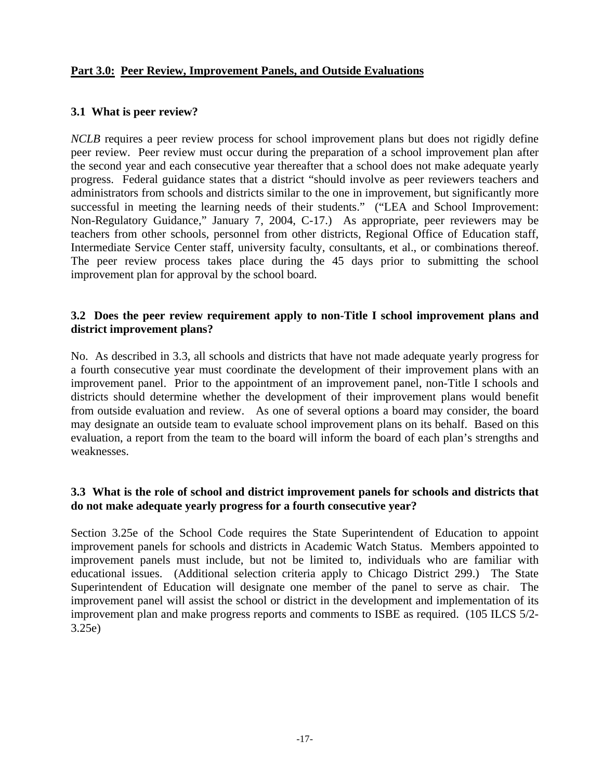# **Part 3.0: Peer Review, Improvement Panels, and Outside Evaluations**

# **3.1 What is peer review?**

*NCLB* requires a peer review process for school improvement plans but does not rigidly define peer review. Peer review must occur during the preparation of a school improvement plan after the second year and each consecutive year thereafter that a school does not make adequate yearly progress. Federal guidance states that a district "should involve as peer reviewers teachers and administrators from schools and districts similar to the one in improvement, but significantly more successful in meeting the learning needs of their students." ("LEA and School Improvement: Non-Regulatory Guidance," January 7, 2004, C-17.) As appropriate, peer reviewers may be teachers from other schools, personnel from other districts, Regional Office of Education staff, Intermediate Service Center staff, university faculty, consultants, et al., or combinations thereof. The peer review process takes place during the 45 days prior to submitting the school improvement plan for approval by the school board.

# **3.2 Does the peer review requirement apply to non-Title I school improvement plans and district improvement plans?**

No. As described in 3.3, all schools and districts that have not made adequate yearly progress for a fourth consecutive year must coordinate the development of their improvement plans with an improvement panel. Prior to the appointment of an improvement panel, non-Title I schools and districts should determine whether the development of their improvement plans would benefit from outside evaluation and review. As one of several options a board may consider, the board may designate an outside team to evaluate school improvement plans on its behalf. Based on this evaluation, a report from the team to the board will inform the board of each plan's strengths and weaknesses.

# **3.3 What is the role of school and district improvement panels for schools and districts that do not make adequate yearly progress for a fourth consecutive year?**

Section 3.25e of the School Code requires the State Superintendent of Education to appoint improvement panels for schools and districts in Academic Watch Status. Members appointed to improvement panels must include, but not be limited to, individuals who are familiar with educational issues. (Additional selection criteria apply to Chicago District 299.) The State Superintendent of Education will designate one member of the panel to serve as chair. The improvement panel will assist the school or district in the development and implementation of its improvement plan and make progress reports and comments to ISBE as required. (105 ILCS 5/2- 3.25e)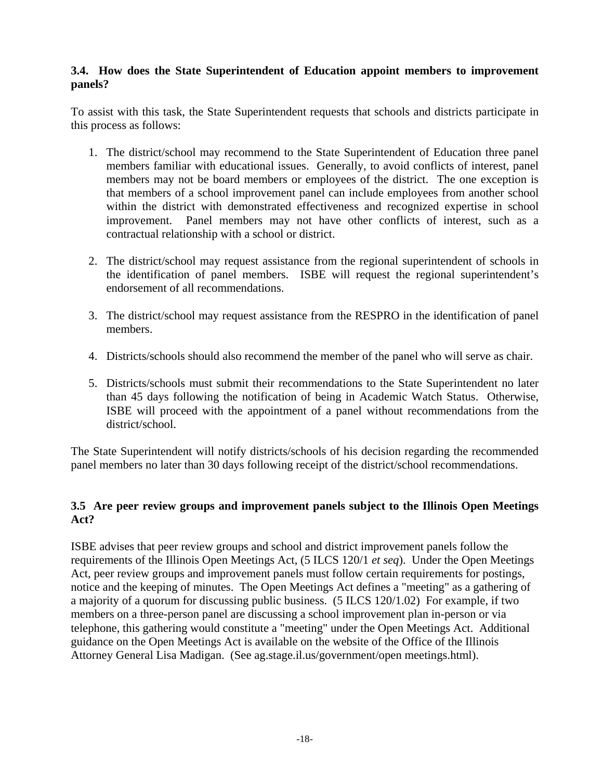# **3.4. How does the State Superintendent of Education appoint members to improvement panels?**

To assist with this task, the State Superintendent requests that schools and districts participate in this process as follows:

- 1. The district/school may recommend to the State Superintendent of Education three panel members familiar with educational issues. Generally, to avoid conflicts of interest, panel members may not be board members or employees of the district. The one exception is that members of a school improvement panel can include employees from another school within the district with demonstrated effectiveness and recognized expertise in school improvement. Panel members may not have other conflicts of interest, such as a contractual relationship with a school or district.
- 2. The district/school may request assistance from the regional superintendent of schools in the identification of panel members. ISBE will request the regional superintendent's endorsement of all recommendations.
- 3. The district/school may request assistance from the RESPRO in the identification of panel members.
- 4. Districts/schools should also recommend the member of the panel who will serve as chair.
- 5. Districts/schools must submit their recommendations to the State Superintendent no later than 45 days following the notification of being in Academic Watch Status. Otherwise, ISBE will proceed with the appointment of a panel without recommendations from the district/school.

The State Superintendent will notify districts/schools of his decision regarding the recommended panel members no later than 30 days following receipt of the district/school recommendations.

# **3.5 Are peer review groups and improvement panels subject to the Illinois Open Meetings Act?**

ISBE advises that peer review groups and school and district improvement panels follow the requirements of the Illinois Open Meetings Act, (5 ILCS 120/1 *et seq*). Under the Open Meetings Act, peer review groups and improvement panels must follow certain requirements for postings, notice and the keeping of minutes. The Open Meetings Act defines a "meeting" as a gathering of a majority of a quorum for discussing public business. (5 ILCS 120/1.02) For example, if two members on a three-person panel are discussing a school improvement plan in-person or via telephone, this gathering would constitute a "meeting" under the Open Meetings Act. Additional guidance on the Open Meetings Act is available on the website of the Office of the Illinois Attorney General Lisa Madigan. (See ag.stage.il.us/government/open meetings.html).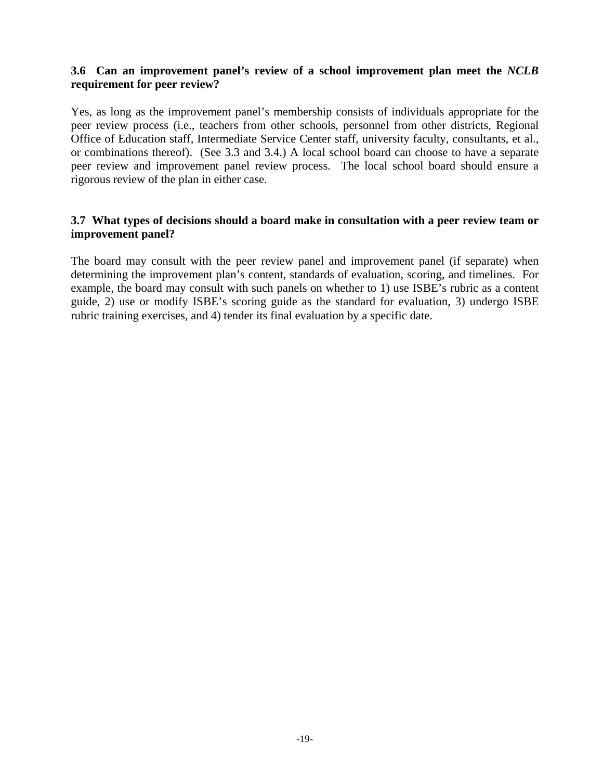# **3.6 Can an improvement panel's review of a school improvement plan meet the** *NCLB* **requirement for peer review?**

Yes, as long as the improvement panel's membership consists of individuals appropriate for the peer review process (i.e., teachers from other schools, personnel from other districts, Regional Office of Education staff, Intermediate Service Center staff, university faculty, consultants, et al., or combinations thereof). (See 3.3 and 3.4.) A local school board can choose to have a separate peer review and improvement panel review process. The local school board should ensure a rigorous review of the plan in either case.

#### **3.7 What types of decisions should a board make in consultation with a peer review team or improvement panel?**

The board may consult with the peer review panel and improvement panel (if separate) when determining the improvement plan's content, standards of evaluation, scoring, and timelines. For example, the board may consult with such panels on whether to 1) use ISBE's rubric as a content guide, 2) use or modify ISBE's scoring guide as the standard for evaluation, 3) undergo ISBE rubric training exercises, and 4) tender its final evaluation by a specific date.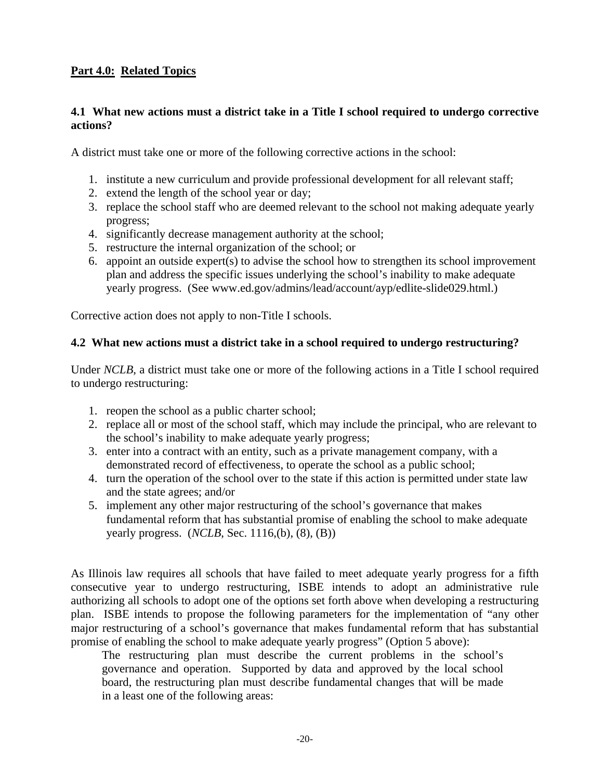# **Part 4.0: Related Topics**

# **4.1 What new actions must a district take in a Title I school required to undergo corrective actions?**

A district must take one or more of the following corrective actions in the school:

- 1. institute a new curriculum and provide professional development for all relevant staff;
- 2. extend the length of the school year or day;
- 3. replace the school staff who are deemed relevant to the school not making adequate yearly progress;
- 4. significantly decrease management authority at the school;
- 5. restructure the internal organization of the school; or
- 6. appoint an outside expert(s) to advise the school how to strengthen its school improvement plan and address the specific issues underlying the school's inability to make adequate yearly progress. (See www.ed.gov/admins/lead/account/ayp/edlite-slide029.html.)

Corrective action does not apply to non-Title I schools.

#### **4.2 What new actions must a district take in a school required to undergo restructuring?**

Under *NCLB*, a district must take one or more of the following actions in a Title I school required to undergo restructuring:

- 1. reopen the school as a public charter school;
- 2. replace all or most of the school staff, which may include the principal, who are relevant to the school's inability to make adequate yearly progress;
- 3. enter into a contract with an entity, such as a private management company, with a demonstrated record of effectiveness, to operate the school as a public school;
- 4. turn the operation of the school over to the state if this action is permitted under state law and the state agrees; and/or
- 5. implement any other major restructuring of the school's governance that makes fundamental reform that has substantial promise of enabling the school to make adequate yearly progress. (*NCLB*, Sec. 1116,(b), (8), (B))

As Illinois law requires all schools that have failed to meet adequate yearly progress for a fifth consecutive year to undergo restructuring, ISBE intends to adopt an administrative rule authorizing all schools to adopt one of the options set forth above when developing a restructuring plan. ISBE intends to propose the following parameters for the implementation of "any other major restructuring of a school's governance that makes fundamental reform that has substantial promise of enabling the school to make adequate yearly progress" (Option 5 above):

The restructuring plan must describe the current problems in the school's governance and operation. Supported by data and approved by the local school board, the restructuring plan must describe fundamental changes that will be made in a least one of the following areas: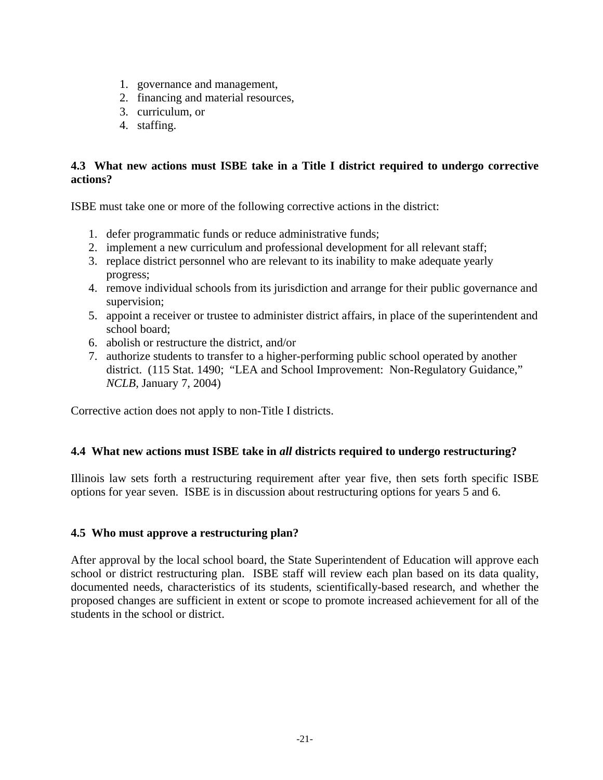- 1. governance and management,
- 2. financing and material resources,
- 3. curriculum, or
- 4. staffing.

# **4.3 What new actions must ISBE take in a Title I district required to undergo corrective actions?**

ISBE must take one or more of the following corrective actions in the district:

- 1. defer programmatic funds or reduce administrative funds;
- 2. implement a new curriculum and professional development for all relevant staff;
- 3. replace district personnel who are relevant to its inability to make adequate yearly progress;
- 4. remove individual schools from its jurisdiction and arrange for their public governance and supervision;
- 5. appoint a receiver or trustee to administer district affairs, in place of the superintendent and school board;
- 6. abolish or restructure the district, and/or
- 7. authorize students to transfer to a higher-performing public school operated by another district. (115 Stat. 1490; "LEA and School Improvement: Non-Regulatory Guidance," *NCLB*, January 7, 2004)

Corrective action does not apply to non-Title I districts.

# **4.4 What new actions must ISBE take in** *all* **districts required to undergo restructuring?**

Illinois law sets forth a restructuring requirement after year five, then sets forth specific ISBE options for year seven. ISBE is in discussion about restructuring options for years 5 and 6.

#### **4.5 Who must approve a restructuring plan?**

After approval by the local school board, the State Superintendent of Education will approve each school or district restructuring plan. ISBE staff will review each plan based on its data quality, documented needs, characteristics of its students, scientifically-based research, and whether the proposed changes are sufficient in extent or scope to promote increased achievement for all of the students in the school or district.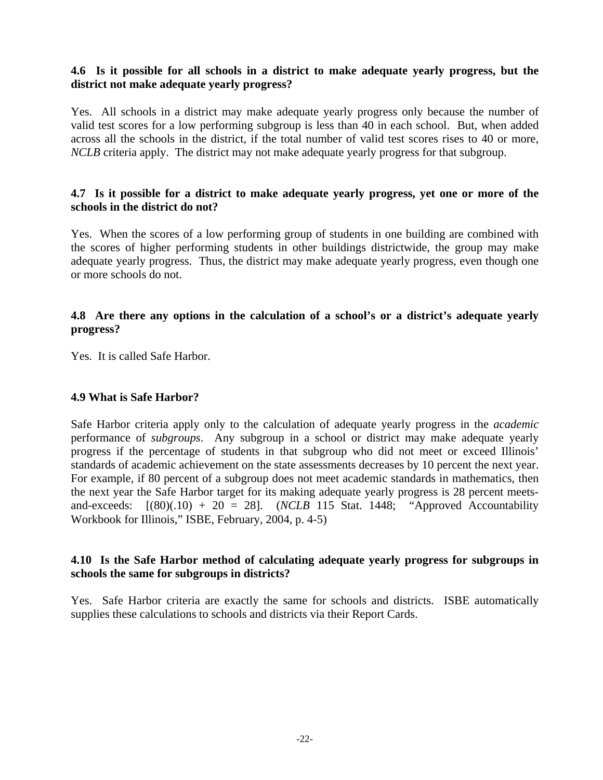## **4.6 Is it possible for all schools in a district to make adequate yearly progress, but the district not make adequate yearly progress?**

Yes. All schools in a district may make adequate yearly progress only because the number of valid test scores for a low performing subgroup is less than 40 in each school. But, when added across all the schools in the district, if the total number of valid test scores rises to 40 or more, *NCLB* criteria apply. The district may not make adequate yearly progress for that subgroup.

#### **4.7 Is it possible for a district to make adequate yearly progress, yet one or more of the schools in the district do not?**

Yes. When the scores of a low performing group of students in one building are combined with the scores of higher performing students in other buildings districtwide, the group may make adequate yearly progress. Thus, the district may make adequate yearly progress, even though one or more schools do not.

# **4.8 Are there any options in the calculation of a school's or a district's adequate yearly progress?**

Yes. It is called Safe Harbor.

#### **4.9 What is Safe Harbor?**

Safe Harbor criteria apply only to the calculation of adequate yearly progress in the *academic* performance of *subgroups*. Any subgroup in a school or district may make adequate yearly progress if the percentage of students in that subgroup who did not meet or exceed Illinois' standards of academic achievement on the state assessments decreases by 10 percent the next year. For example, if 80 percent of a subgroup does not meet academic standards in mathematics, then the next year the Safe Harbor target for its making adequate yearly progress is 28 percent meetsand-exceeds:  $[(80)(.10) + 20 = 28]$ . *(NCLB* 115 Stat. 1448; "Approved Accountability Workbook for Illinois," ISBE, February, 2004, p. 4-5)

# **4.10 Is the Safe Harbor method of calculating adequate yearly progress for subgroups in schools the same for subgroups in districts?**

Yes. Safe Harbor criteria are exactly the same for schools and districts. ISBE automatically supplies these calculations to schools and districts via their Report Cards.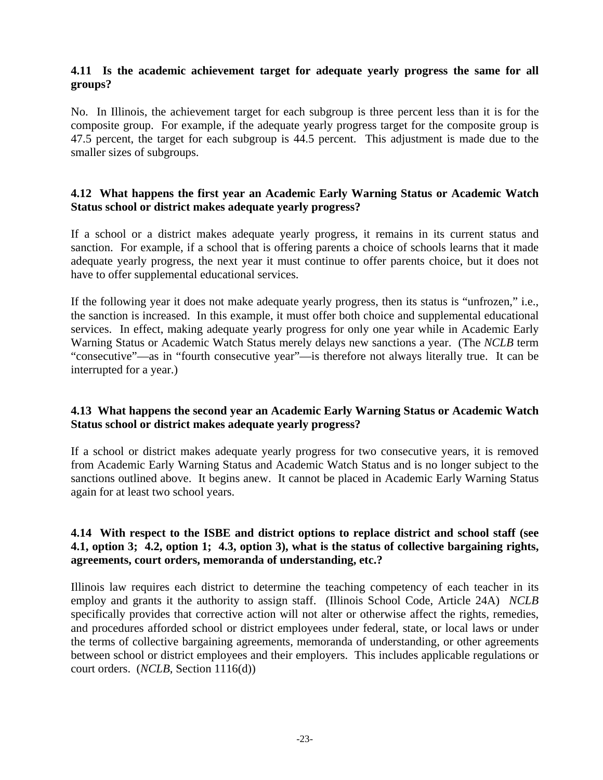# **4.11 Is the academic achievement target for adequate yearly progress the same for all groups?**

No. In Illinois, the achievement target for each subgroup is three percent less than it is for the composite group. For example, if the adequate yearly progress target for the composite group is 47.5 percent, the target for each subgroup is 44.5 percent. This adjustment is made due to the smaller sizes of subgroups.

#### **4.12 What happens the first year an Academic Early Warning Status or Academic Watch Status school or district makes adequate yearly progress?**

If a school or a district makes adequate yearly progress, it remains in its current status and sanction. For example, if a school that is offering parents a choice of schools learns that it made adequate yearly progress, the next year it must continue to offer parents choice, but it does not have to offer supplemental educational services.

If the following year it does not make adequate yearly progress, then its status is "unfrozen," i.e., the sanction is increased. In this example, it must offer both choice and supplemental educational services. In effect, making adequate yearly progress for only one year while in Academic Early Warning Status or Academic Watch Status merely delays new sanctions a year. (The *NCLB* term "consecutive"—as in "fourth consecutive year"—is therefore not always literally true. It can be interrupted for a year.)

# **4.13 What happens the second year an Academic Early Warning Status or Academic Watch Status school or district makes adequate yearly progress?**

If a school or district makes adequate yearly progress for two consecutive years, it is removed from Academic Early Warning Status and Academic Watch Status and is no longer subject to the sanctions outlined above. It begins anew. It cannot be placed in Academic Early Warning Status again for at least two school years.

# **4.14 With respect to the ISBE and district options to replace district and school staff (see 4.1, option 3; 4.2, option 1; 4.3, option 3), what is the status of collective bargaining rights, agreements, court orders, memoranda of understanding, etc.?**

Illinois law requires each district to determine the teaching competency of each teacher in its employ and grants it the authority to assign staff. (Illinois School Code, Article 24A) *NCLB* specifically provides that corrective action will not alter or otherwise affect the rights, remedies, and procedures afforded school or district employees under federal, state, or local laws or under the terms of collective bargaining agreements, memoranda of understanding, or other agreements between school or district employees and their employers. This includes applicable regulations or court orders. (*NCLB*, Section 1116(d))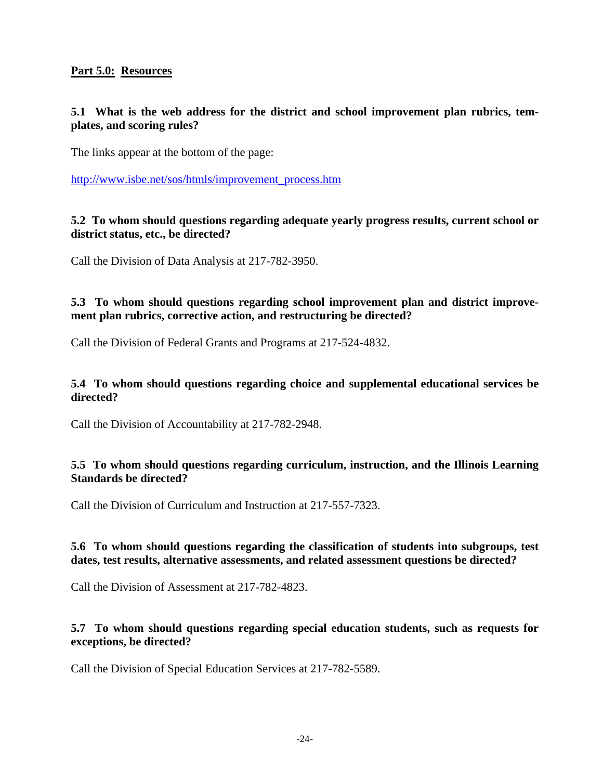# **Part 5.0: Resources**

# **5.1 What is the web address for the district and school improvement plan rubrics, templates, and scoring rules?**

The links appear at the bottom of the page:

[http://www.isbe.net/sos/htmls/improvement\\_process.htm](http://www.isbe.net/sos/htmls/improvement_process.htm)

#### **5.2 To whom should questions regarding adequate yearly progress results, current school or district status, etc., be directed?**

Call the Division of Data Analysis at 217-782-3950.

# **5.3 To whom should questions regarding school improvement plan and district improvement plan rubrics, corrective action, and restructuring be directed?**

Call the Division of Federal Grants and Programs at 217-524-4832.

### **5.4 To whom should questions regarding choice and supplemental educational services be directed?**

Call the Division of Accountability at 217-782-2948.

#### **5.5 To whom should questions regarding curriculum, instruction, and the Illinois Learning Standards be directed?**

Call the Division of Curriculum and Instruction at 217-557-7323.

# **5.6 To whom should questions regarding the classification of students into subgroups, test dates, test results, alternative assessments, and related assessment questions be directed?**

Call the Division of Assessment at 217-782-4823.

# **5.7 To whom should questions regarding special education students, such as requests for exceptions, be directed?**

Call the Division of Special Education Services at 217-782-5589.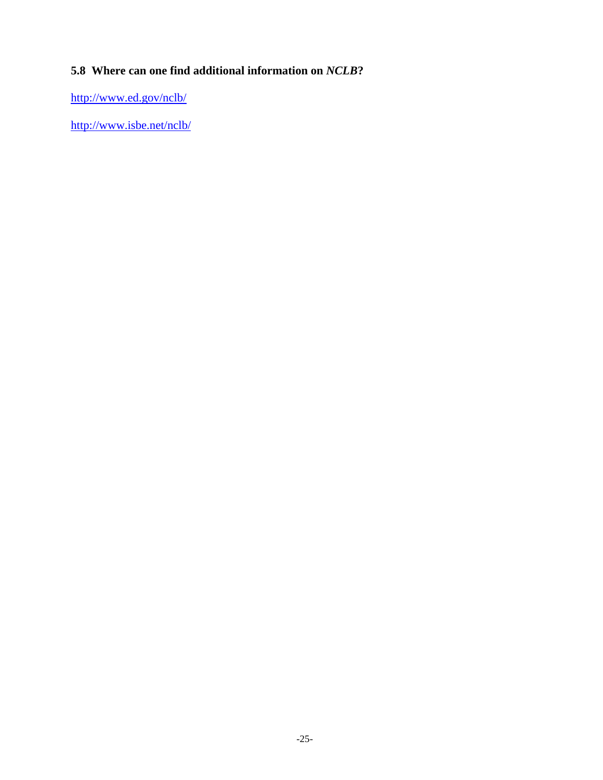# **5.8 Where can one find additional information on** *NCLB***?**

<http://www.ed.gov/nclb/>

<http://www.isbe.net/nclb/>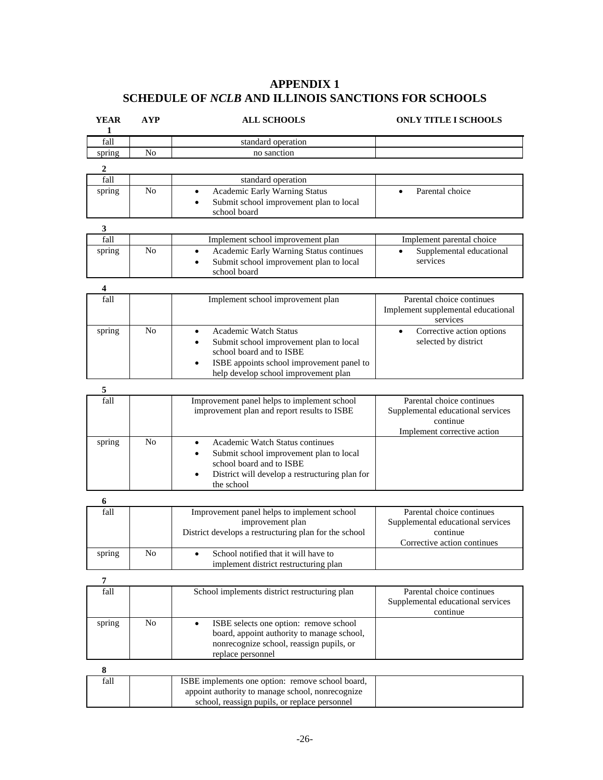# **APPENDIX 1 SCHEDULE OF** *NCLB* **AND ILLINOIS SANCTIONS FOR SCHOOLS**

| <b>YEAR</b><br>1        | <b>AYP</b>     | <b>ALL SCHOOLS</b>                                                                     | <b>ONLY TITLE I SCHOOLS</b>                                    |
|-------------------------|----------------|----------------------------------------------------------------------------------------|----------------------------------------------------------------|
| fall                    |                | standard operation                                                                     |                                                                |
| spring                  | No             | no sanction                                                                            |                                                                |
| 2                       |                |                                                                                        |                                                                |
| fall                    |                | standard operation                                                                     |                                                                |
| spring                  | N <sub>o</sub> | Academic Early Warning Status<br>$\bullet$                                             | Parental choice<br>$\bullet$                                   |
|                         |                | Submit school improvement plan to local                                                |                                                                |
|                         |                | school board                                                                           |                                                                |
| 3                       |                |                                                                                        |                                                                |
| fall                    |                | Implement school improvement plan                                                      | Implement parental choice                                      |
| spring                  | No             | Academic Early Warning Status continues<br>$\bullet$                                   | Supplemental educational                                       |
|                         |                | Submit school improvement plan to local<br>٠                                           | services                                                       |
|                         |                | school board                                                                           |                                                                |
| $\overline{\mathbf{4}}$ |                |                                                                                        |                                                                |
| fall                    |                | Implement school improvement plan                                                      | Parental choice continues                                      |
|                         |                |                                                                                        | Implement supplemental educational                             |
|                         |                |                                                                                        | services                                                       |
| spring                  | N <sub>o</sub> | <b>Academic Watch Status</b><br>$\bullet$                                              | Corrective action options<br>$\bullet$                         |
|                         |                | Submit school improvement plan to local<br>school board and to ISBE                    | selected by district                                           |
|                         |                | ISBE appoints school improvement panel to                                              |                                                                |
|                         |                | help develop school improvement plan                                                   |                                                                |
|                         |                |                                                                                        |                                                                |
| $\sqrt{5}$<br>fall      |                | Improvement panel helps to implement school                                            | Parental choice continues                                      |
|                         |                | improvement plan and report results to ISBE                                            | Supplemental educational services                              |
|                         |                |                                                                                        | continue                                                       |
|                         |                |                                                                                        | Implement corrective action                                    |
| spring                  | N <sub>o</sub> | Academic Watch Status continues<br>٠                                                   |                                                                |
|                         |                | Submit school improvement plan to local<br>$\bullet$                                   |                                                                |
|                         |                | school board and to ISBE                                                               |                                                                |
|                         |                | District will develop a restructuring plan for<br>the school                           |                                                                |
|                         |                |                                                                                        |                                                                |
| 6                       |                |                                                                                        |                                                                |
| fall                    |                | Improvement panel helps to implement school<br>improvement plan                        | Parental choice continues<br>Supplemental educational services |
|                         |                | District develops a restructuring plan for the school                                  | continue                                                       |
|                         |                |                                                                                        | Corrective action continues                                    |
| spring                  | No             | School notified that it will have to<br>$\bullet$                                      |                                                                |
|                         |                | implement district restructuring plan                                                  |                                                                |
| 7                       |                |                                                                                        |                                                                |
| fall                    |                | School implements district restructuring plan                                          | Parental choice continues                                      |
|                         |                |                                                                                        | Supplemental educational services                              |
|                         |                |                                                                                        | continue                                                       |
| spring                  | $\rm No$       | ISBE selects one option: remove school<br>$\bullet$                                    |                                                                |
|                         |                | board, appoint authority to manage school,<br>nonrecognize school, reassign pupils, or |                                                                |
|                         |                | replace personnel                                                                      |                                                                |
| ${\bf 8}$               |                |                                                                                        |                                                                |
| fall                    |                | ISBE implements one option: remove school board,                                       |                                                                |
|                         |                | appoint authority to manage school, nonrecognize                                       |                                                                |
|                         |                | school, reassign pupils, or replace personnel                                          |                                                                |